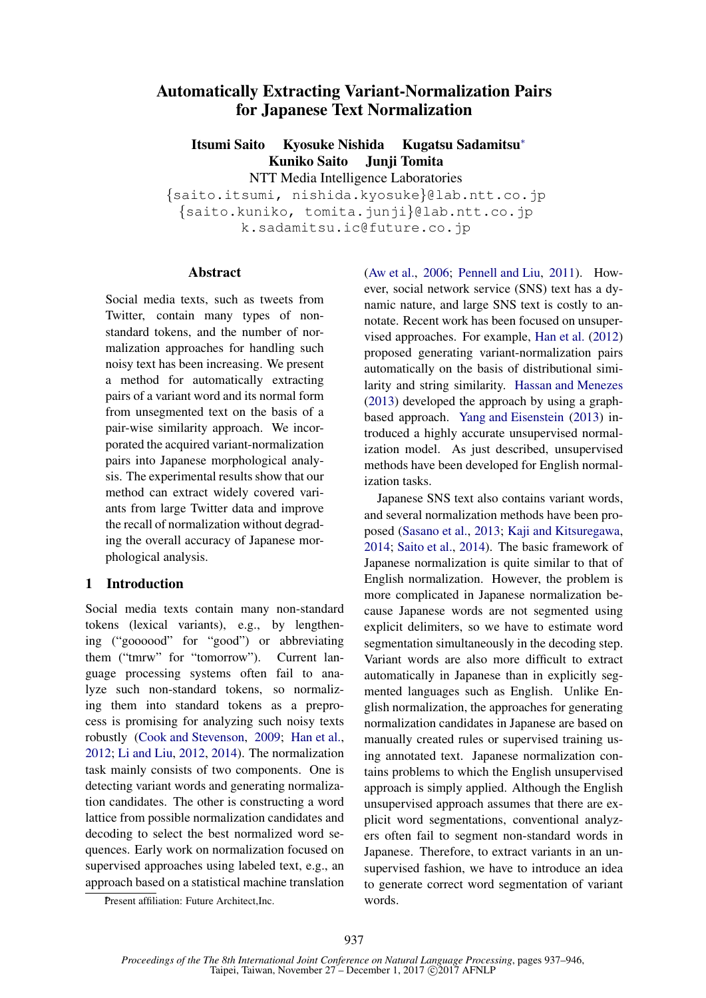# Automatically Extracting Variant-Normalization Pairs for Japanese Text Normalization

Itsumi Saito Kyosuke Nishida Kugatsu Sadamitsu<sup>∗</sup> Kuniko Saito Junji Tomita NTT Media Intelligence Laboratories

{saito.itsumi, nishida.kyosuke}@lab.ntt.co.jp {saito.kuniko, tomita.junji}@lab.ntt.co.jp k.sadamitsu.ic@future.co.jp

### Abstract

Social media texts, such as tweets from Twitter, contain many types of nonstandard tokens, and the number of normalization approaches for handling such noisy text has been increasing. We present a method for automatically extracting pairs of a variant word and its normal form from unsegmented text on the basis of a pair-wise similarity approach. We incorporated the acquired variant-normalization pairs into Japanese morphological analysis. The experimental results show that our method can extract widely covered variants from large Twitter data and improve the recall of normalization without degrading the overall accuracy of Japanese morphological analysis.

### 1 Introduction

Social media texts contain many non-standard tokens (lexical variants), e.g., by lengthening ("goooood" for "good") or abbreviating them ("tmrw" for "tomorrow"). Current language processing systems often fail to analyze such non-standard tokens, so normalizing them into standard tokens as a preprocess is promising for analyzing such noisy texts robustly (Cook and Stevenson, 2009; Han et al., 2012; Li and Liu, 2012, 2014). The normalization task mainly consists of two components. One is detecting variant words and generating normalization candidates. The other is constructing a word lattice from possible normalization candidates and decoding to select the best normalized word sequences. Early work on normalization focused on supervised approaches using labeled text, e.g., an approach based on a statistical machine translation (Aw et al., 2006; Pennell and Liu, 2011). However, social network service (SNS) text has a dynamic nature, and large SNS text is costly to annotate. Recent work has been focused on unsupervised approaches. For example, Han et al. (2012) proposed generating variant-normalization pairs automatically on the basis of distributional similarity and string similarity. Hassan and Menezes (2013) developed the approach by using a graphbased approach. Yang and Eisenstein (2013) introduced a highly accurate unsupervised normalization model. As just described, unsupervised methods have been developed for English normalization tasks.

Japanese SNS text also contains variant words, and several normalization methods have been proposed (Sasano et al., 2013; Kaji and Kitsuregawa, 2014; Saito et al., 2014). The basic framework of Japanese normalization is quite similar to that of English normalization. However, the problem is more complicated in Japanese normalization because Japanese words are not segmented using explicit delimiters, so we have to estimate word segmentation simultaneously in the decoding step. Variant words are also more difficult to extract automatically in Japanese than in explicitly segmented languages such as English. Unlike English normalization, the approaches for generating normalization candidates in Japanese are based on manually created rules or supervised training using annotated text. Japanese normalization contains problems to which the English unsupervised approach is simply applied. Although the English unsupervised approach assumes that there are explicit word segmentations, conventional analyzers often fail to segment non-standard words in Japanese. Therefore, to extract variants in an unsupervised fashion, we have to introduce an idea to generate correct word segmentation of variant words.

Present affiliation: Future Architect, Inc.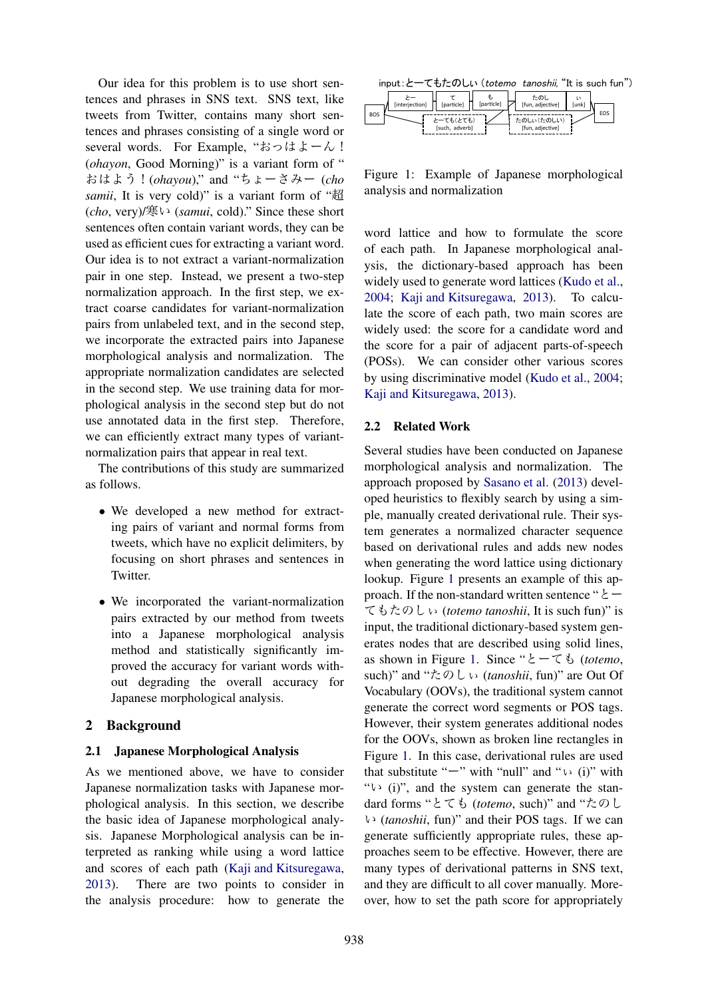Our idea for this problem is to use short sentences and phrases in SNS text. SNS text, like tweets from Twitter, contains many short sentences and phrases consisting of a single word or several words. For Example, "おっはよーん! (*ohayon*, Good Morning)" is a variant form of " おはよう!(*ohayou*)," and "ちょーさみー (*cho samii*, It is very cold)" is a variant form of "超 (*cho*, very)/寒い (*samui*, cold)." Since these short sentences often contain variant words, they can be used as efficient cues for extracting a variant word. Our idea is to not extract a variant-normalization pair in one step. Instead, we present a two-step normalization approach. In the first step, we extract coarse candidates for variant-normalization pairs from unlabeled text, and in the second step, we incorporate the extracted pairs into Japanese morphological analysis and normalization. The appropriate normalization candidates are selected in the second step. We use training data for morphological analysis in the second step but do not use annotated data in the first step. Therefore, we can efficiently extract many types of variantnormalization pairs that appear in real text.

The contributions of this study are summarized as follows.

- We developed a new method for extracting pairs of variant and normal forms from tweets, which have no explicit delimiters, by focusing on short phrases and sentences in Twitter.
- We incorporated the variant-normalization pairs extracted by our method from tweets into a Japanese morphological analysis method and statistically significantly improved the accuracy for variant words without degrading the overall accuracy for Japanese morphological analysis.

### 2 Background

### 2.1 Japanese Morphological Analysis

As we mentioned above, we have to consider Japanese normalization tasks with Japanese morphological analysis. In this section, we describe the basic idea of Japanese morphological analysis. Japanese Morphological analysis can be interpreted as ranking while using a word lattice and scores of each path (Kaji and Kitsuregawa, 2013). There are two points to consider in the analysis procedure: how to generate the

| input:と一てもたのしい (totemo tanoshii, "It is such fun") |  |  |  |  |
|----------------------------------------------------|--|--|--|--|
|----------------------------------------------------|--|--|--|--|

|            | [interjection] | [particle]     | [particle] | たのし<br>[fun, adjective] | [unk] |     |
|------------|----------------|----------------|------------|-------------------------|-------|-----|
| <b>BOS</b> |                | とーても(とても)      |            | たのしい(たのしい)              |       | EOS |
|            |                | [such, adverb] |            | [fun, adjective]        |       |     |

Figure 1: Example of Japanese morphological analysis and normalization

word lattice and how to formulate the score of each path. In Japanese morphological analysis, the dictionary-based approach has been widely used to generate word lattices (Kudo et al., 2004; Kaji and Kitsuregawa, 2013). To calculate the score of each path, two main scores are widely used: the score for a candidate word and the score for a pair of adjacent parts-of-speech (POSs). We can consider other various scores by using discriminative model (Kudo et al., 2004; Kaji and Kitsuregawa, 2013).

### 2.2 Related Work

Several studies have been conducted on Japanese morphological analysis and normalization. The approach proposed by Sasano et al. (2013) developed heuristics to flexibly search by using a simple, manually created derivational rule. Their system generates a normalized character sequence based on derivational rules and adds new nodes when generating the word lattice using dictionary lookup. Figure 1 presents an example of this approach. If the non-standard written sentence " $\epsilon$  – てもたのしぃ (*totemo tanoshii*, It is such fun)" is input, the traditional dictionary-based system generates nodes that are described using solid lines, as shown in Figure 1. Since "とーても (*totemo*, such)" and "たのしぃ (*tanoshii*, fun)" are Out Of Vocabulary (OOVs), the traditional system cannot generate the correct word segments or POS tags. However, their system generates additional nodes for the OOVs, shown as broken line rectangles in Figure 1. In this case, derivational rules are used that substitute " $-$ " with "null" and " $\cup$  (i)" with " $\vee$  (i)", and the system can generate the standard forms "とても (*totemo*, such)" and "たのし い (*tanoshii*, fun)" and their POS tags. If we can generate sufficiently appropriate rules, these approaches seem to be effective. However, there are many types of derivational patterns in SNS text, and they are difficult to all cover manually. Moreover, how to set the path score for appropriately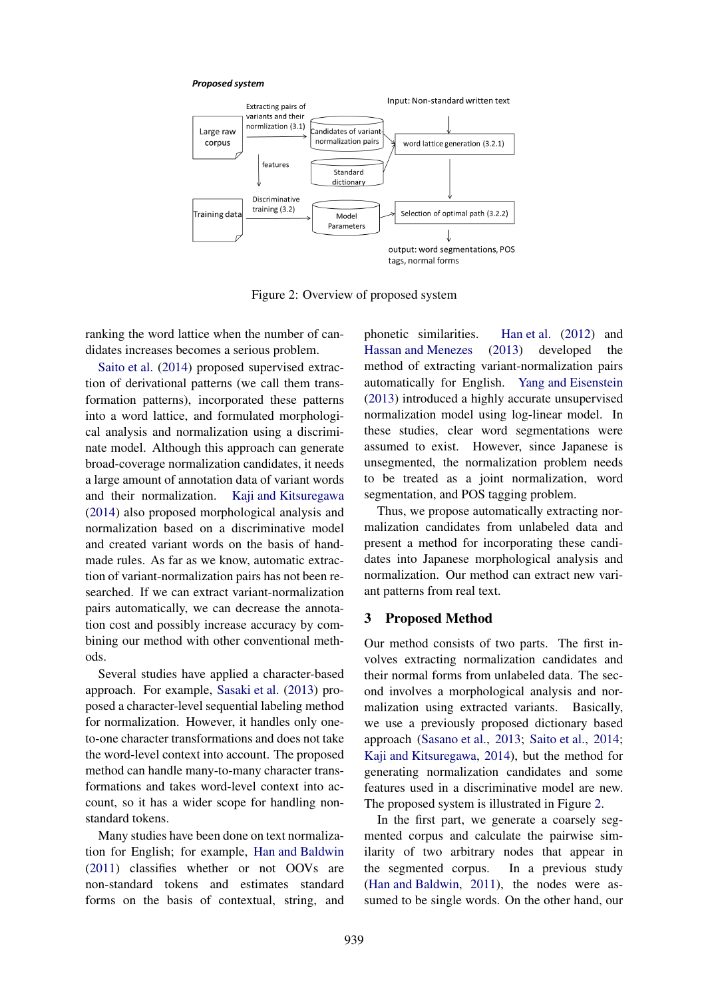#### **Proposed system**



Figure 2: Overview of proposed system

ranking the word lattice when the number of candidates increases becomes a serious problem.

Saito et al. (2014) proposed supervised extraction of derivational patterns (we call them transformation patterns), incorporated these patterns into a word lattice, and formulated morphological analysis and normalization using a discriminate model. Although this approach can generate broad-coverage normalization candidates, it needs a large amount of annotation data of variant words and their normalization. Kaji and Kitsuregawa (2014) also proposed morphological analysis and normalization based on a discriminative model and created variant words on the basis of handmade rules. As far as we know, automatic extraction of variant-normalization pairs has not been researched. If we can extract variant-normalization pairs automatically, we can decrease the annotation cost and possibly increase accuracy by combining our method with other conventional methods.

Several studies have applied a character-based approach. For example, Sasaki et al. (2013) proposed a character-level sequential labeling method for normalization. However, it handles only oneto-one character transformations and does not take the word-level context into account. The proposed method can handle many-to-many character transformations and takes word-level context into account, so it has a wider scope for handling nonstandard tokens.

Many studies have been done on text normalization for English; for example, Han and Baldwin (2011) classifies whether or not OOVs are non-standard tokens and estimates standard forms on the basis of contextual, string, and phonetic similarities. Han et al. (2012) and Hassan and Menezes (2013) developed the method of extracting variant-normalization pairs automatically for English. Yang and Eisenstein (2013) introduced a highly accurate unsupervised normalization model using log-linear model. In these studies, clear word segmentations were assumed to exist. However, since Japanese is unsegmented, the normalization problem needs to be treated as a joint normalization, word segmentation, and POS tagging problem.

Thus, we propose automatically extracting normalization candidates from unlabeled data and present a method for incorporating these candidates into Japanese morphological analysis and normalization. Our method can extract new variant patterns from real text.

#### 3 Proposed Method

Our method consists of two parts. The first involves extracting normalization candidates and their normal forms from unlabeled data. The second involves a morphological analysis and normalization using extracted variants. Basically, we use a previously proposed dictionary based approach (Sasano et al., 2013; Saito et al., 2014; Kaji and Kitsuregawa, 2014), but the method for generating normalization candidates and some features used in a discriminative model are new. The proposed system is illustrated in Figure 2.

In the first part, we generate a coarsely segmented corpus and calculate the pairwise similarity of two arbitrary nodes that appear in the segmented corpus. In a previous study (Han and Baldwin, 2011), the nodes were assumed to be single words. On the other hand, our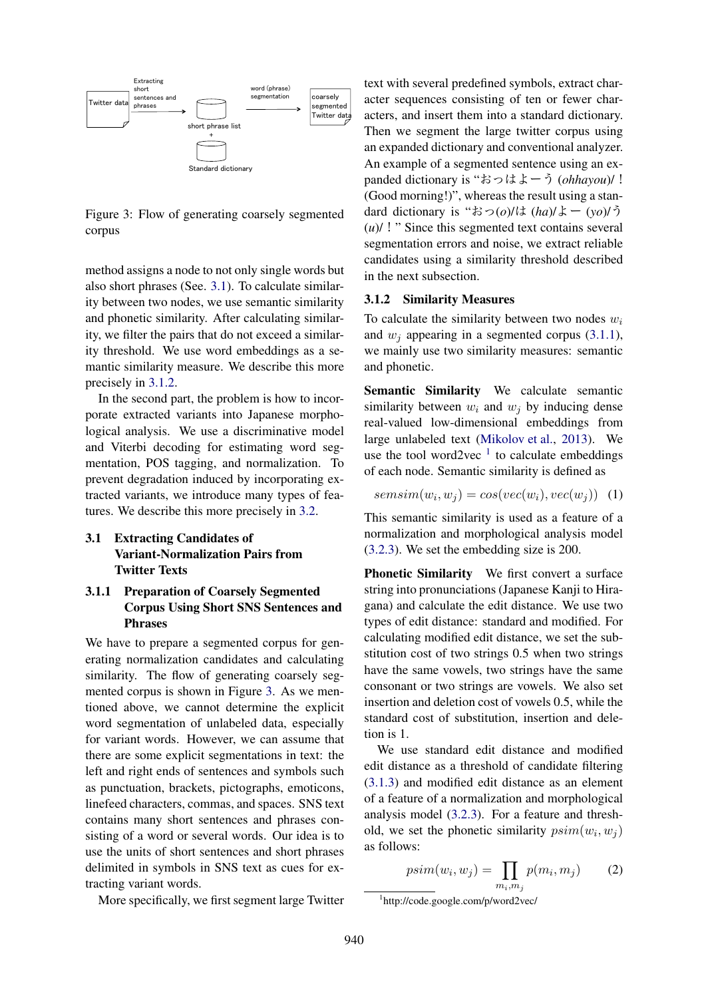

Figure 3: Flow of generating coarsely segmented corpus

method assigns a node to not only single words but also short phrases (See. 3.1). To calculate similarity between two nodes, we use semantic similarity and phonetic similarity. After calculating similarity, we filter the pairs that do not exceed a similarity threshold. We use word embeddings as a semantic similarity measure. We describe this more precisely in 3.1.2.

In the second part, the problem is how to incorporate extracted variants into Japanese morphological analysis. We use a discriminative model and Viterbi decoding for estimating word segmentation, POS tagging, and normalization. To prevent degradation induced by incorporating extracted variants, we introduce many types of features. We describe this more precisely in 3.2.

3.1 Extracting Candidates of Variant-Normalization Pairs from Twitter Texts

## 3.1.1 Preparation of Coarsely Segmented Corpus Using Short SNS Sentences and Phrases

We have to prepare a segmented corpus for generating normalization candidates and calculating similarity. The flow of generating coarsely segmented corpus is shown in Figure 3. As we mentioned above, we cannot determine the explicit word segmentation of unlabeled data, especially for variant words. However, we can assume that there are some explicit segmentations in text: the left and right ends of sentences and symbols such as punctuation, brackets, pictographs, emoticons, linefeed characters, commas, and spaces. SNS text contains many short sentences and phrases consisting of a word or several words. Our idea is to use the units of short sentences and short phrases delimited in symbols in SNS text as cues for extracting variant words.

More specifically, we first segment large Twitter

text with several predefined symbols, extract character sequences consisting of ten or fewer characters, and insert them into a standard dictionary. Then we segment the large twitter corpus using an expanded dictionary and conventional analyzer. An example of a segmented sentence using an expanded dictionary is "おっはよーう (*ohhayou*)/! (Good morning!)", whereas the result using a standard dictionary is "おっ(*o*)/は (*ha*)/よー (*yo*)/う (*u*)/!" Since this segmented text contains several segmentation errors and noise, we extract reliable candidates using a similarity threshold described in the next subsection.

#### 3.1.2 Similarity Measures

To calculate the similarity between two nodes  $w_i$ and  $w_i$  appearing in a segmented corpus (3.1.1), we mainly use two similarity measures: semantic and phonetic.

Semantic Similarity We calculate semantic similarity between  $w_i$  and  $w_j$  by inducing dense real-valued low-dimensional embeddings from large unlabeled text (Mikolov et al., 2013). We use the tool word2vec  $<sup>1</sup>$  to calculate embeddings</sup> of each node. Semantic similarity is defined as

$$
semsim(w_i, w_j) = cos(vec(w_i), vec(w_j)) \quad (1)
$$

This semantic similarity is used as a feature of a normalization and morphological analysis model (3.2.3). We set the embedding size is 200.

Phonetic Similarity We first convert a surface string into pronunciations (Japanese Kanji to Hiragana) and calculate the edit distance. We use two types of edit distance: standard and modified. For calculating modified edit distance, we set the substitution cost of two strings 0.5 when two strings have the same vowels, two strings have the same consonant or two strings are vowels. We also set insertion and deletion cost of vowels 0.5, while the standard cost of substitution, insertion and deletion is 1.

We use standard edit distance and modified edit distance as a threshold of candidate filtering (3.1.3) and modified edit distance as an element of a feature of a normalization and morphological analysis model (3.2.3). For a feature and threshold, we set the phonetic similarity  $psim(w_i, w_j)$ as follows:

$$
psim(w_i, w_j) = \prod_{m_i, m_j} p(m_i, m_j) \tag{2}
$$

1 http://code.google.com/p/word2vec/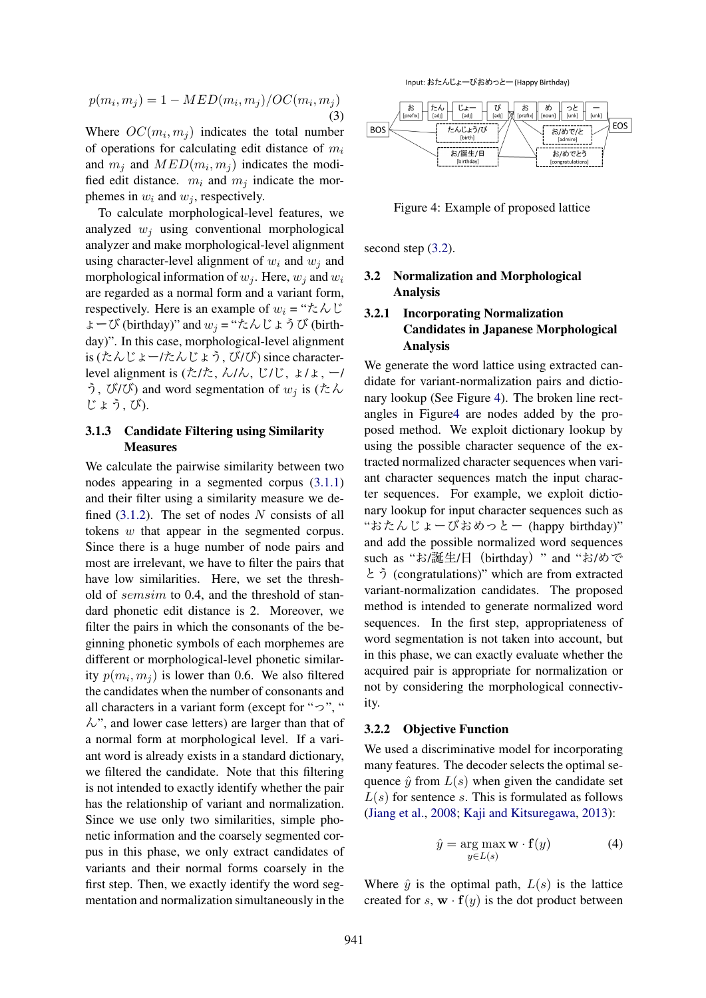$$
p(m_i, m_j) = 1 - MED(m_i, m_j)/OC(m_i, m_j)
$$
\n(3)

Where  $OC(m_i, m_j)$  indicates the total number of operations for calculating edit distance of  $m_i$ and  $m_j$  and  $MED(m_i, m_j)$  indicates the modified edit distance.  $m_i$  and  $m_j$  indicate the morphemes in  $w_i$  and  $w_j$ , respectively.

To calculate morphological-level features, we analyzed  $w_i$  using conventional morphological analyzer and make morphological-level alignment using character-level alignment of  $w_i$  and  $w_j$  and morphological information of  $w_i$ . Here,  $w_i$  and  $w_i$ are regarded as a normal form and a variant form, respectively. Here is an example of  $w_i = " \nmid \mathcal{L} \wedge \mathcal{U}$ ょーび (birthday)" and w<sup>j</sup> = "たんじょうび (birthday)". In this case, morphological-level alignment is (たんじょー/たんじょう, び/び) since characterlevel alignment is  $(\frac{\hbar}{\hbar})$ ,  $\frac{\hbar}{\hbar}$ ,  $\frac{\hbar}{\hbar}$ ,  $\frac{\hbar}{\hbar}$ ,  $\frac{\hbar}{\hbar}$ ,  $\frac{\hbar}{\hbar}$ う, び/び) and word segmentation of  $w_i$  is (たん じょう, び).

### 3.1.3 Candidate Filtering using Similarity **Measures**

We calculate the pairwise similarity between two nodes appearing in a segmented corpus (3.1.1) and their filter using a similarity measure we defined  $(3.1.2)$ . The set of nodes N consists of all tokens w that appear in the segmented corpus. Since there is a huge number of node pairs and most are irrelevant, we have to filter the pairs that have low similarities. Here, we set the threshold of semsim to 0.4, and the threshold of standard phonetic edit distance is 2. Moreover, we filter the pairs in which the consonants of the beginning phonetic symbols of each morphemes are different or morphological-level phonetic similarity  $p(m_i, m_j)$  is lower than 0.6. We also filtered the candidates when the number of consonants and all characters in a variant form (except for " $\gamma$ ", "  $\mathcal{W}$ , and lower case letters) are larger than that of a normal form at morphological level. If a variant word is already exists in a standard dictionary, we filtered the candidate. Note that this filtering is not intended to exactly identify whether the pair has the relationship of variant and normalization. Since we use only two similarities, simple phonetic information and the coarsely segmented corpus in this phase, we only extract candidates of variants and their normal forms coarsely in the first step. Then, we exactly identify the word segmentation and normalization simultaneously in the

Input: おたんじょーびおめっとー (Happy Birthday)



Figure 4: Example of proposed lattice

second step  $(3.2)$ .

### 3.2 Normalization and Morphological Analysis

### 3.2.1 Incorporating Normalization Candidates in Japanese Morphological Analysis

We generate the word lattice using extracted candidate for variant-normalization pairs and dictionary lookup (See Figure 4). The broken line rectangles in Figure4 are nodes added by the proposed method. We exploit dictionary lookup by using the possible character sequence of the extracted normalized character sequences when variant character sequences match the input character sequences. For example, we exploit dictionary lookup for input character sequences such as "おたんじょーびおめっとー (happy birthday)" and add the possible normalized word sequences such as "お/誕生/日 (birthday) " and "お/めで とう (congratulations)" which are from extracted variant-normalization candidates. The proposed method is intended to generate normalized word sequences. In the first step, appropriateness of word segmentation is not taken into account, but in this phase, we can exactly evaluate whether the acquired pair is appropriate for normalization or not by considering the morphological connectivity.

#### 3.2.2 Objective Function

We used a discriminative model for incorporating many features. The decoder selects the optimal sequence  $\hat{y}$  from  $L(s)$  when given the candidate set  $L(s)$  for sentence s. This is formulated as follows (Jiang et al., 2008; Kaji and Kitsuregawa, 2013):

$$
\hat{y} = \underset{y \in L(s)}{\arg \max} \mathbf{w} \cdot \mathbf{f}(y) \tag{4}
$$

Where  $\hat{y}$  is the optimal path,  $L(s)$  is the lattice created for s,  $\mathbf{w} \cdot \mathbf{f}(y)$  is the dot product between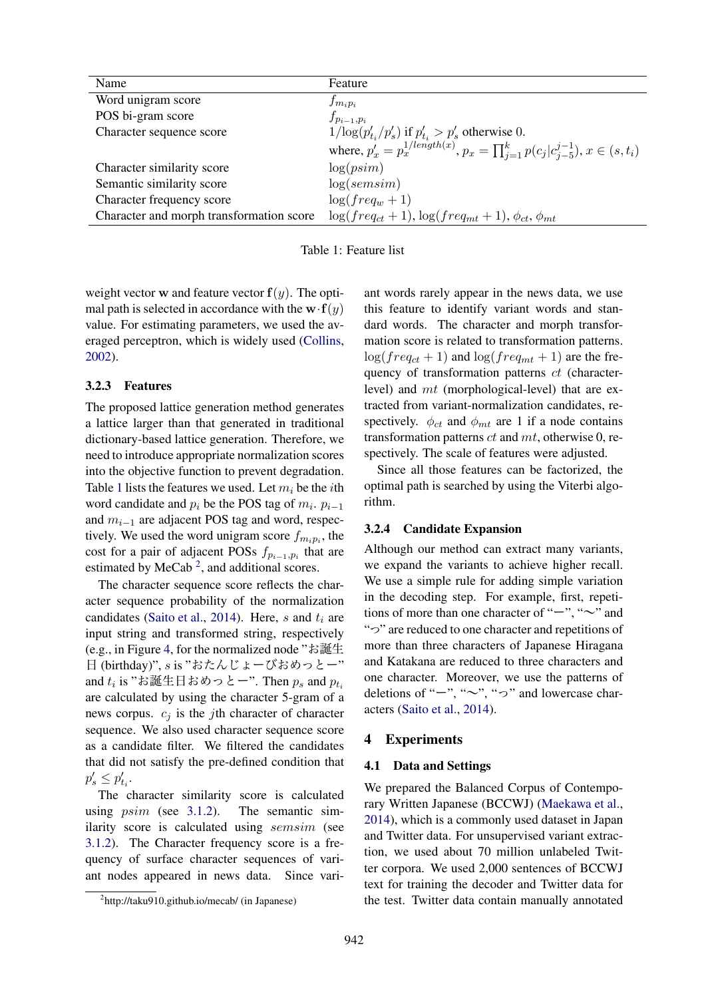| Name<br>Feature<br>Word unigram score<br>$f_{m_ip_i}$<br>POS bi-gram score<br>$f_{p_{i-1},p_i}$<br>$1/\log(p'_{t_i}/p'_{s})$ if $p'_{t_i} > p'_{s}$ otherwise 0.<br>Character sequence score |                                                                                                |
|----------------------------------------------------------------------------------------------------------------------------------------------------------------------------------------------|------------------------------------------------------------------------------------------------|
|                                                                                                                                                                                              |                                                                                                |
|                                                                                                                                                                                              |                                                                                                |
|                                                                                                                                                                                              |                                                                                                |
|                                                                                                                                                                                              |                                                                                                |
|                                                                                                                                                                                              | where, $p'_x = p_x^{1/length(x)}$ , $p_x = \prod_{i=1}^k p(c_i c_{i-5}^{j-1}), x \in (s, t_i)$ |
| log(psim)<br>Character similarity score                                                                                                                                                      |                                                                                                |
| log(semsim)<br>Semantic similarity score                                                                                                                                                     |                                                                                                |
| $\log(freq_w + 1)$<br>Character frequency score                                                                                                                                              |                                                                                                |
| $\log(freq_{ct} + 1), \log(freq_{mt} + 1), \phi_{ct}, \phi_{mt}$<br>Character and morph transformation score                                                                                 |                                                                                                |

Table 1: Feature list

weight vector **w** and feature vector  $f(y)$ . The optimal path is selected in accordance with the  $\mathbf{w} \cdot \mathbf{f}(y)$ value. For estimating parameters, we used the averaged perceptron, which is widely used (Collins, 2002).

#### 3.2.3 Features

The proposed lattice generation method generates a lattice larger than that generated in traditional dictionary-based lattice generation. Therefore, we need to introduce appropriate normalization scores into the objective function to prevent degradation. Table 1 lists the features we used. Let  $m_i$  be the *i*th word candidate and  $p_i$  be the POS tag of  $m_i$ .  $p_{i-1}$ and  $m_{i-1}$  are adjacent POS tag and word, respectively. We used the word unigram score  $f_{m_ip_i}$ , the cost for a pair of adjacent POSs  $f_{p_{i-1},p_i}$  that are estimated by MeCab<sup>2</sup>, and additional scores.

The character sequence score reflects the character sequence probability of the normalization candidates (Saito et al., 2014). Here, s and  $t_i$  are input string and transformed string, respectively (e.g., in Figure 4, for the normalized node "お誕生 日 (birthday)", s is "おたんじょーびおめっとー" and  $t_i$  is "お誕生日おめっとー". Then  $p_s$  and  $p_{t_i}$ are calculated by using the character 5-gram of a news corpus.  $c_i$  is the jth character of character sequence. We also used character sequence score as a candidate filter. We filtered the candidates that did not satisfy the pre-defined condition that  $p'_s \leq p'_{t_i}.$ 

The character similarity score is calculated using psim (see 3.1.2). The semantic similarity score is calculated using semsim (see 3.1.2). The Character frequency score is a frequency of surface character sequences of variant nodes appeared in news data. Since variant words rarely appear in the news data, we use this feature to identify variant words and standard words. The character and morph transformation score is related to transformation patterns.  $log(freq_{ct} + 1)$  and  $log(freq_{mt} + 1)$  are the frequency of transformation patterns ct (characterlevel) and mt (morphological-level) that are extracted from variant-normalization candidates, respectively.  $\phi_{ct}$  and  $\phi_{mt}$  are 1 if a node contains transformation patterns  $ct$  and  $mt$ , otherwise 0, respectively. The scale of features were adjusted.

Since all those features can be factorized, the optimal path is searched by using the Viterbi algorithm.

### 3.2.4 Candidate Expansion

Although our method can extract many variants, we expand the variants to achieve higher recall. We use a simple rule for adding simple variation in the decoding step. For example, first, repetitions of more than one character of " $-$ ", " $\sim$ " and "っ" are reduced to one character and repetitions of more than three characters of Japanese Hiragana and Katakana are reduced to three characters and one character. Moreover, we use the patterns of deletions of " $-$ ", " $\sim$ ", " $\sim$ " and lowercase characters (Saito et al., 2014).

#### 4 Experiments

#### 4.1 Data and Settings

We prepared the Balanced Corpus of Contemporary Written Japanese (BCCWJ) (Maekawa et al., 2014), which is a commonly used dataset in Japan and Twitter data. For unsupervised variant extraction, we used about 70 million unlabeled Twitter corpora. We used 2,000 sentences of BCCWJ text for training the decoder and Twitter data for the test. Twitter data contain manually annotated

<sup>2</sup> http://taku910.github.io/mecab/ (in Japanese)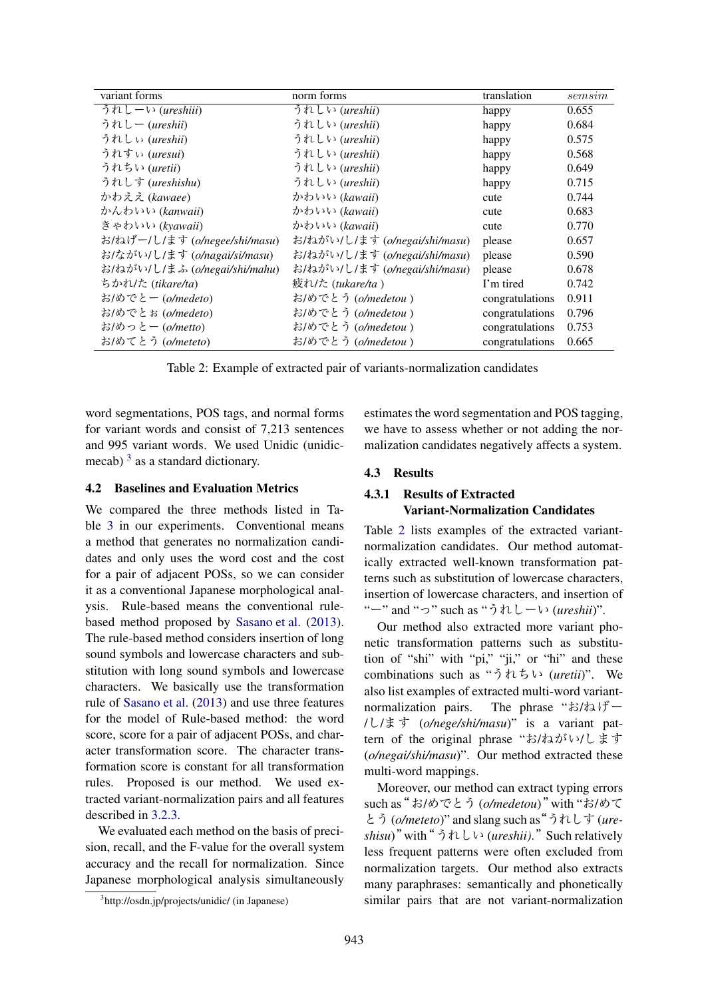| variant forms                 | norm forms                    | translation     | sems <sub>1</sub> |
|-------------------------------|-------------------------------|-----------------|-------------------|
| うれしーい (ureshiii)              | うれしい (ureshii)                | happy           | 0.655             |
| うれしー (ureshii)                | うれしい (ureshii)                | happy           | 0.684             |
| うれしぃ (ureshii)                | うれしい (ureshii)                | happy           | 0.575             |
| うれすぃ (uresui)                 | うれしい (ureshii)                | happy           | 0.568             |
| うれちい (uretii)                 | うれしい (ureshii)                | happy           | 0.649             |
| うれしす (ureshishu)              | うれしい (ureshii)                | happy           | 0.715             |
| かわええ (kawaee)                 | かわいい (kawaii)                 | cute            | 0.744             |
| かんわいい (kanwaii)               | かわいい (kawaii)                 | cute            | 0.683             |
| きゃわいい (kyawaii)               | かわいい (kawaii)                 | cute            | 0.770             |
| お/ねげー/し/ます (o/negee/shi/masu) | お/ねがい/し/ます (o/negai/shi/masu) | please          | 0.657             |
| お/ながい/し/ます (o/nagai/si/masu)  | お/ねがい/し/ます (o/negai/shi/masu) | please          | 0.590             |
| お/ねがい/し/まふ (o/negai/shi/mahu) | お/ねがい/し/ます (o/negai/shi/masu) | please          | 0.678             |
| ちかれけ (tikare/ta)              | 疲れ/た (tukare/ta)              | I'm tired       | 0.742             |
| お/めでとー (o/medeto)             | お/めでとう (o/medetou)            | congratulations | 0.911             |
| お/めでとお (o/medeto)             | お/めでとう (o/medetou)            | congratulations | 0.796             |
| お/めっとー (o/metto)              | お/めでとう (o/medetou)            | congratulations | 0.753             |
| お/めてとう (o/meteto)             | お/めでとう(o/medetou)             | congratulations | 0.665             |

Table 2: Example of extracted pair of variants-normalization candidates

word segmentations, POS tags, and normal forms for variant words and consist of 7,213 sentences and 995 variant words. We used Unidic (unidicmecab)  $3$  as a standard dictionary.

#### 4.2 Baselines and Evaluation Metrics

We compared the three methods listed in Table 3 in our experiments. Conventional means a method that generates no normalization candidates and only uses the word cost and the cost for a pair of adjacent POSs, so we can consider it as a conventional Japanese morphological analysis. Rule-based means the conventional rulebased method proposed by Sasano et al. (2013). The rule-based method considers insertion of long sound symbols and lowercase characters and substitution with long sound symbols and lowercase characters. We basically use the transformation rule of Sasano et al. (2013) and use three features for the model of Rule-based method: the word score, score for a pair of adjacent POSs, and character transformation score. The character transformation score is constant for all transformation rules. Proposed is our method. We used extracted variant-normalization pairs and all features described in 3.2.3.

We evaluated each method on the basis of precision, recall, and the F-value for the overall system accuracy and the recall for normalization. Since Japanese morphological analysis simultaneously estimates the word segmentation and POS tagging, we have to assess whether or not adding the normalization candidates negatively affects a system.

#### 4.3 Results

## 4.3.1 Results of Extracted Variant-Normalization Candidates

Table 2 lists examples of the extracted variantnormalization candidates. Our method automatically extracted well-known transformation patterns such as substitution of lowercase characters, insertion of lowercase characters, and insertion of "ー" and "っ" such as "うれしーい (*ureshii*)".

Our method also extracted more variant phonetic transformation patterns such as substitution of "shi" with "pi," "ji," or "hi" and these combinations such as "うれちい (*uretii*)". We also list examples of extracted multi-word variantnormalization pairs. The phrase "お/ねげー /し/ます (*o/nege/shi/masu*)" is a variant pattern of the original phrase "お/ねがい/します (*o/negai/shi/masu*)". Our method extracted these multi-word mappings.

Moreover, our method can extract typing errors such as"お/めでとう (*o/medetou*)"with "お/めて とう (*o/meteto*)" and slang such as"うれしす (*ureshisu*)"with"うれしい (*ureshii)*."Such relatively less frequent patterns were often excluded from normalization targets. Our method also extracts many paraphrases: semantically and phonetically similar pairs that are not variant-normalization

<sup>3</sup> http://osdn.jp/projects/unidic/ (in Japanese)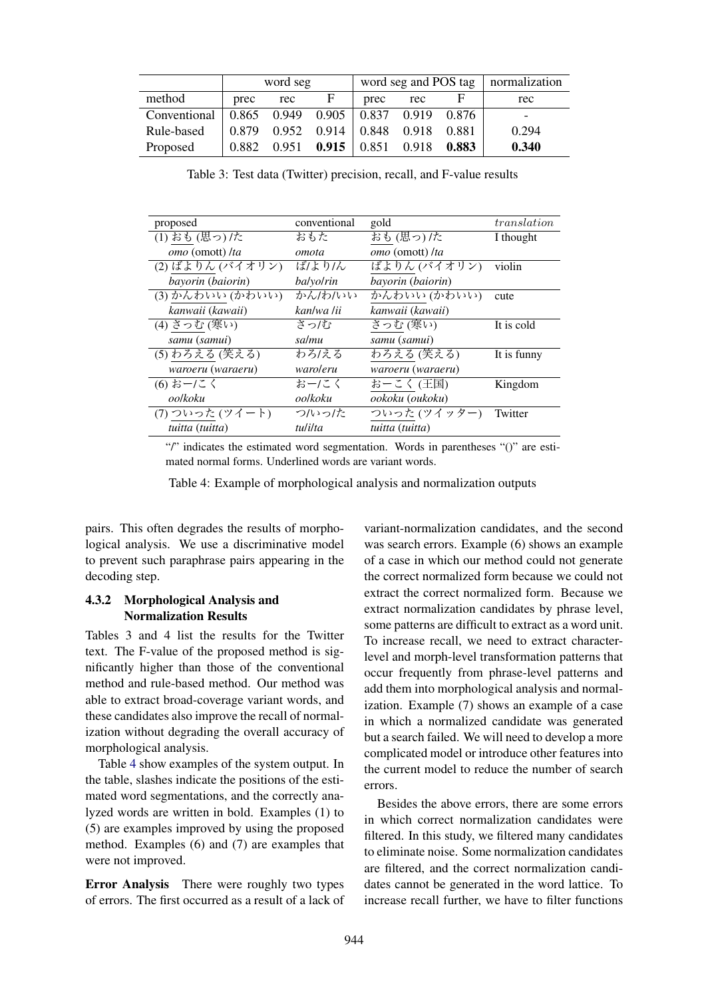|              | word seg |       |       | word seg and POS tag |       |       | normalization |
|--------------|----------|-------|-------|----------------------|-------|-------|---------------|
| method       | prec     | rec   | F.    | prec                 | rec   |       | rec           |
| Conventional | 0.865    | 0.949 | 0.905 | $\vert 0.837 \vert$  | 0.919 | 0.876 | -             |
| Rule-based   | 0.879    | 0.952 |       | $0.914 \pm 0.848$    | 0.918 | 0.881 | 0.294         |
| Proposed     | 0.882    | 0.951 | 0.915 | 0.851                | 0.918 | 0.883 | 0.340         |

Table 3: Test data (Twitter) precision, recall, and F-value results

| proposed          | conventional     | gold              | translation |
|-------------------|------------------|-------------------|-------------|
| (1) おも(思っ)/た      | おもた              | おも(思っ)/た          | I thought   |
| omo (omott) /ta   | omota            | omo (omott) /ta   |             |
| (2) ばよりん (バイオリン)  | ば/より/ん           | ばよりん (バイオリン)      | violin      |
| bayorin (baiorin) | <i>balvolrin</i> | bayorin (baiorin) |             |
| (3)かんわいい(かわいい)    | かん/わ/いい          | かんわいい (かわいい)      | cute        |
| kanwaii (kawaii)  | kan/wa /ii       | kanwaii (kawaii)  |             |
| (4) さっむ (寒い)      | さっぱ              | さっむ (寒い)          | It is cold  |
| samu (samui)      | salmu            | samu (samui)      |             |
| (5) わろえる (笑える)    | わろ/える            | わろえる (笑える)        | It is funny |
| waroeru (waraeru) | waroleru         | waroeru (waraeru) |             |
| (6) おー/こく         | おー/こく            | おーこく (王国)         | Kingdom     |
| oolkoku           | oolkoku          | ookoku (oukoku)   |             |
| (7) ついった(ツイート)    | つかった             | ついった (ツイッター)      | Twitter     |
| tuitta (tuitta)   | tulilta          | tuitta (tuitta)   |             |

"/" indicates the estimated word segmentation. Words in parentheses "()" are estimated normal forms. Underlined words are variant words.

Table 4: Example of morphological analysis and normalization outputs

pairs. This often degrades the results of morphological analysis. We use a discriminative model to prevent such paraphrase pairs appearing in the decoding step.

### 4.3.2 Morphological Analysis and Normalization Results

Tables 3 and 4 list the results for the Twitter text. The F-value of the proposed method is significantly higher than those of the conventional method and rule-based method. Our method was able to extract broad-coverage variant words, and these candidates also improve the recall of normalization without degrading the overall accuracy of morphological analysis.

Table 4 show examples of the system output. In the table, slashes indicate the positions of the estimated word segmentations, and the correctly analyzed words are written in bold. Examples (1) to (5) are examples improved by using the proposed method. Examples (6) and (7) are examples that were not improved.

Error Analysis There were roughly two types of errors. The first occurred as a result of a lack of

variant-normalization candidates, and the second was search errors. Example (6) shows an example of a case in which our method could not generate the correct normalized form because we could not extract the correct normalized form. Because we extract normalization candidates by phrase level, some patterns are difficult to extract as a word unit. To increase recall, we need to extract characterlevel and morph-level transformation patterns that occur frequently from phrase-level patterns and add them into morphological analysis and normalization. Example (7) shows an example of a case in which a normalized candidate was generated but a search failed. We will need to develop a more complicated model or introduce other features into the current model to reduce the number of search errors.

Besides the above errors, there are some errors in which correct normalization candidates were filtered. In this study, we filtered many candidates to eliminate noise. Some normalization candidates are filtered, and the correct normalization candidates cannot be generated in the word lattice. To increase recall further, we have to filter functions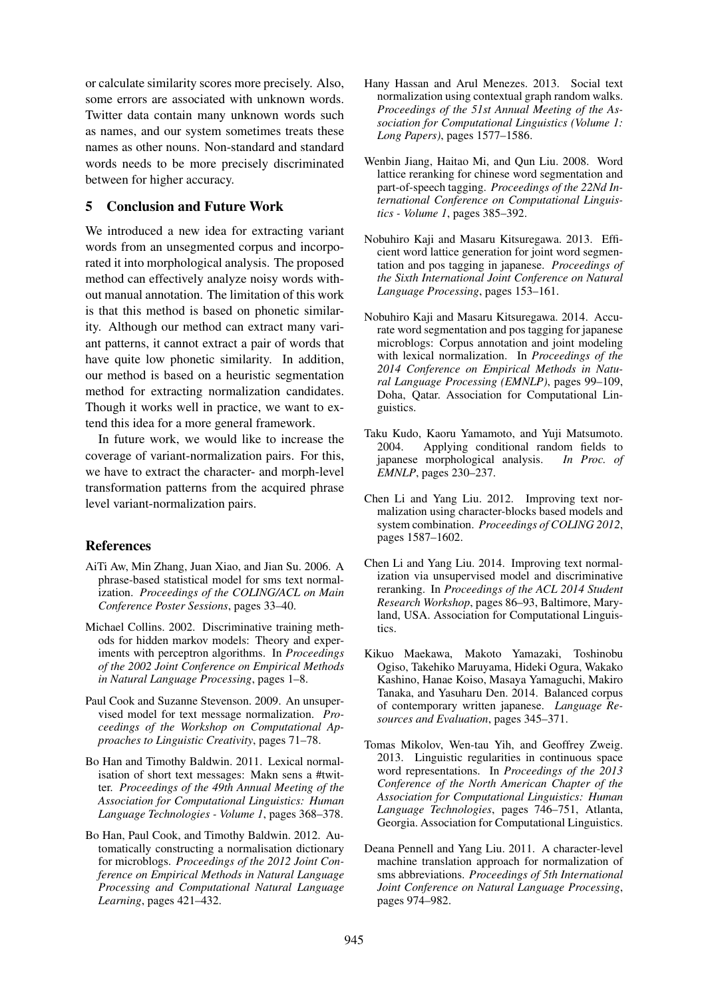or calculate similarity scores more precisely. Also, some errors are associated with unknown words. Twitter data contain many unknown words such as names, and our system sometimes treats these names as other nouns. Non-standard and standard words needs to be more precisely discriminated between for higher accuracy.

### 5 Conclusion and Future Work

We introduced a new idea for extracting variant words from an unsegmented corpus and incorporated it into morphological analysis. The proposed method can effectively analyze noisy words without manual annotation. The limitation of this work is that this method is based on phonetic similarity. Although our method can extract many variant patterns, it cannot extract a pair of words that have quite low phonetic similarity. In addition, our method is based on a heuristic segmentation method for extracting normalization candidates. Though it works well in practice, we want to extend this idea for a more general framework.

In future work, we would like to increase the coverage of variant-normalization pairs. For this, we have to extract the character- and morph-level transformation patterns from the acquired phrase level variant-normalization pairs.

### References

- AiTi Aw, Min Zhang, Juan Xiao, and Jian Su. 2006. A phrase-based statistical model for sms text normalization. *Proceedings of the COLING/ACL on Main Conference Poster Sessions*, pages 33–40.
- Michael Collins. 2002. Discriminative training methods for hidden markov models: Theory and experiments with perceptron algorithms. In *Proceedings of the 2002 Joint Conference on Empirical Methods in Natural Language Processing*, pages 1–8.
- Paul Cook and Suzanne Stevenson. 2009. An unsupervised model for text message normalization. *Proceedings of the Workshop on Computational Approaches to Linguistic Creativity*, pages 71–78.
- Bo Han and Timothy Baldwin. 2011. Lexical normalisation of short text messages: Makn sens a #twitter. *Proceedings of the 49th Annual Meeting of the Association for Computational Linguistics: Human Language Technologies - Volume 1*, pages 368–378.
- Bo Han, Paul Cook, and Timothy Baldwin. 2012. Automatically constructing a normalisation dictionary for microblogs. *Proceedings of the 2012 Joint Conference on Empirical Methods in Natural Language Processing and Computational Natural Language Learning*, pages 421–432.
- Hany Hassan and Arul Menezes. 2013. Social text normalization using contextual graph random walks. *Proceedings of the 51st Annual Meeting of the Association for Computational Linguistics (Volume 1: Long Papers)*, pages 1577–1586.
- Wenbin Jiang, Haitao Mi, and Qun Liu. 2008. Word lattice reranking for chinese word segmentation and part-of-speech tagging. *Proceedings of the 22Nd International Conference on Computational Linguistics - Volume 1*, pages 385–392.
- Nobuhiro Kaji and Masaru Kitsuregawa. 2013. Efficient word lattice generation for joint word segmentation and pos tagging in japanese. *Proceedings of the Sixth International Joint Conference on Natural Language Processing*, pages 153–161.
- Nobuhiro Kaji and Masaru Kitsuregawa. 2014. Accurate word segmentation and pos tagging for japanese microblogs: Corpus annotation and joint modeling with lexical normalization. In *Proceedings of the 2014 Conference on Empirical Methods in Natural Language Processing (EMNLP)*, pages 99–109, Doha, Qatar. Association for Computational Linguistics.
- Taku Kudo, Kaoru Yamamoto, and Yuji Matsumoto. 2004. Applying conditional random fields to japanese morphological analysis. In Proc. of japanese morphological analysis. *EMNLP*, pages 230–237.
- Chen Li and Yang Liu. 2012. Improving text normalization using character-blocks based models and system combination. *Proceedings of COLING 2012*, pages 1587–1602.
- Chen Li and Yang Liu. 2014. Improving text normalization via unsupervised model and discriminative reranking. In *Proceedings of the ACL 2014 Student Research Workshop*, pages 86–93, Baltimore, Maryland, USA. Association for Computational Linguistics.
- Kikuo Maekawa, Makoto Yamazaki, Toshinobu Ogiso, Takehiko Maruyama, Hideki Ogura, Wakako Kashino, Hanae Koiso, Masaya Yamaguchi, Makiro Tanaka, and Yasuharu Den. 2014. Balanced corpus of contemporary written japanese. *Language Resources and Evaluation*, pages 345–371.
- Tomas Mikolov, Wen-tau Yih, and Geoffrey Zweig. 2013. Linguistic regularities in continuous space word representations. In *Proceedings of the 2013 Conference of the North American Chapter of the Association for Computational Linguistics: Human Language Technologies*, pages 746–751, Atlanta, Georgia. Association for Computational Linguistics.
- Deana Pennell and Yang Liu. 2011. A character-level machine translation approach for normalization of sms abbreviations. *Proceedings of 5th International Joint Conference on Natural Language Processing*, pages 974–982.